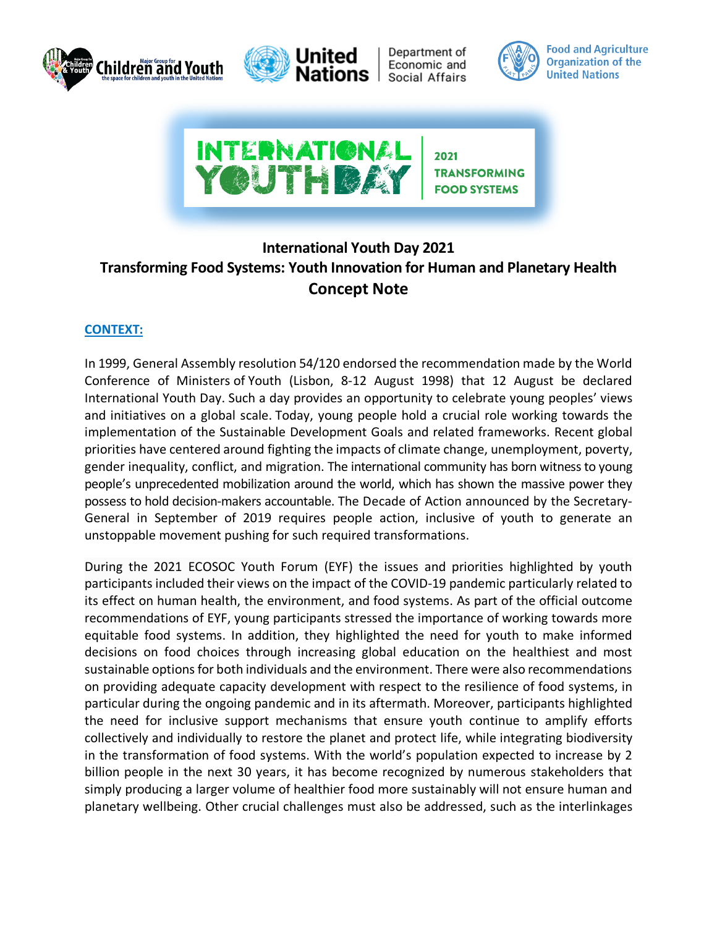



Department of Economic and Social Affairs



**Food and Agriculture Organization of the United Nations** 



## **International Youth Day 2021 Transforming Food Systems: Youth Innovation for Human and Planetary Health Concept Note**

## **CONTEXT:**

In 1999, General Assembly resolution 54/120 endorsed the recommendation made by the World Conference of Ministers of Youth (Lisbon, 8-12 August 1998) that 12 August be declared International Youth Day. Such a day provides an opportunity to celebrate young peoples' views and initiatives on a global scale. Today, young people hold a crucial role working towards the implementation of the Sustainable Development Goals and related frameworks. Recent global priorities have centered around fighting the impacts of climate change, unemployment, poverty, gender inequality, conflict, and migration. The international community has born witness to young people's unprecedented mobilization around the world, which has shown the massive power they possess to hold decision-makers accountable. The Decade of Action announced by the Secretary-General in September of 2019 requires people action, inclusive of youth to generate an unstoppable movement pushing for such required transformations.

During the 2021 ECOSOC Youth Forum (EYF) the issues and priorities highlighted by youth participants included their views on the impact of the COVID-19 pandemic particularly related to its effect on human health, the environment, and food systems. As part of the official outcome recommendations of EYF, young participants stressed the importance of working towards more equitable food systems. In addition, they highlighted the need for youth to make informed decisions on food choices through increasing global education on the healthiest and most sustainable options for both individuals and the environment. There were also recommendations on providing adequate capacity development with respect to the resilience of food systems, in particular during the ongoing pandemic and in its aftermath. Moreover, participants highlighted the need for inclusive support mechanisms that ensure youth continue to amplify efforts collectively and individually to restore the planet and protect life, while integrating biodiversity in the transformation of food systems. With the world's population expected to increase by 2 billion people in the next 30 years, it has become recognized by numerous stakeholders that simply producing a larger volume of healthier food more sustainably will not ensure human and planetary wellbeing. Other crucial challenges must also be addressed, such as the interlinkages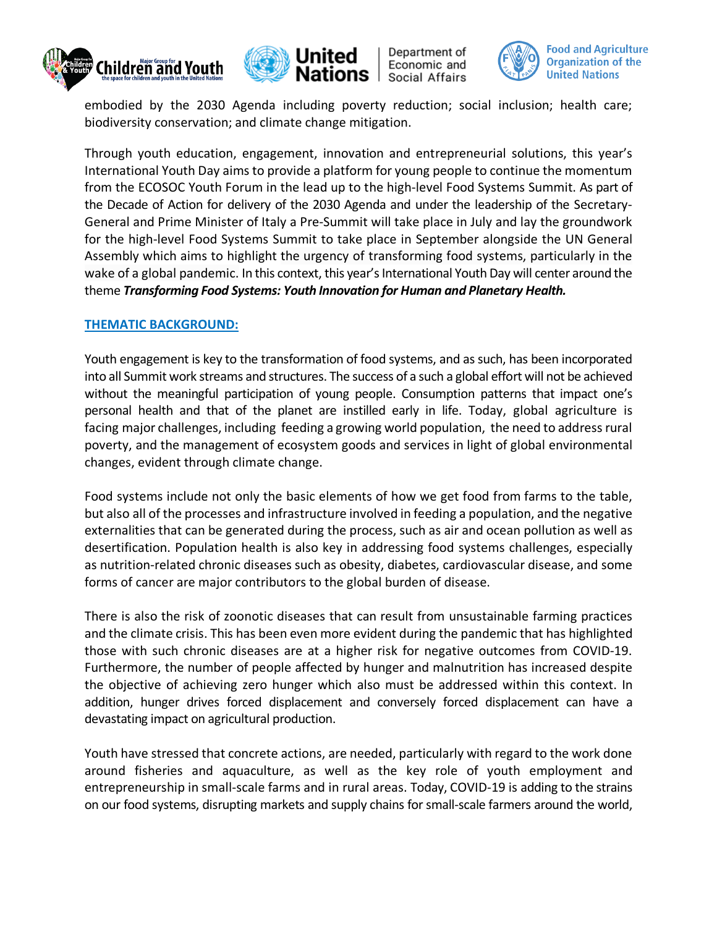



Department of Economic and Social Affairs



embodied by the 2030 Agenda including poverty reduction; social inclusion; health care; biodiversity conservation; and climate change mitigation.

Through youth education, engagement, innovation and entrepreneurial solutions, this year's International Youth Day aims to provide a platform for young people to continue the momentum from the ECOSOC Youth Forum in the lead up to the high-level Food Systems Summit. As part of the Decade of Action for delivery of the 2030 Agenda and under the leadership of the Secretary-General and Prime Minister of Italy a Pre-Summit will take place in July and lay the groundwork for the high-level Food Systems Summit to take place in September alongside the UN General Assembly which aims to highlight the urgency of transforming food systems, particularly in the wake of a global pandemic. In this context, this year's International Youth Day will center around the theme *Transforming Food Systems: Youth Innovation for Human and Planetary Health.*

## **THEMATIC BACKGROUND:**

Youth engagement is key to the transformation of food systems, and as such, has been incorporated into all Summit work streams and structures. The success of a such a global effort will not be achieved without the meaningful participation of young people. Consumption patterns that impact one's personal health and that of the planet are instilled early in life. Today, global agriculture is facing major challenges, including feeding a growing world population, the need to address rural poverty, and the management of ecosystem goods and services in light of global environmental changes, evident through climate change.

Food systems include not only the basic elements of how we get food from farms to the table, but also all of the processes and infrastructure involved in feeding a population, and the negative externalities that can be generated during the process, such as air and ocean pollution as well as desertification. Population health is also key in addressing food systems challenges, especially as nutrition-related chronic diseases such as obesity, diabetes, cardiovascular disease, and some forms of cancer are major contributors to the global burden of disease.

There is also the risk of zoonotic diseases that can result from unsustainable farming practices and the climate crisis. This has been even more evident during the pandemic that has highlighted those with such chronic diseases are at a higher risk for negative outcomes from COVID-19. Furthermore, the number of people affected by hunger and malnutrition has increased despite the objective of achieving zero hunger which also must be addressed within this context. In addition, hunger drives forced displacement and conversely forced displacement can have a devastating impact on agricultural production.

Youth have stressed that concrete actions, are needed, particularly with regard to the work done around fisheries and aquaculture, as well as the key role of youth employment and entrepreneurship in small-scale farms and in rural areas. Today, COVID-19 is adding to the strains on our food systems, disrupting markets and supply chains for small-scale farmers around the world,